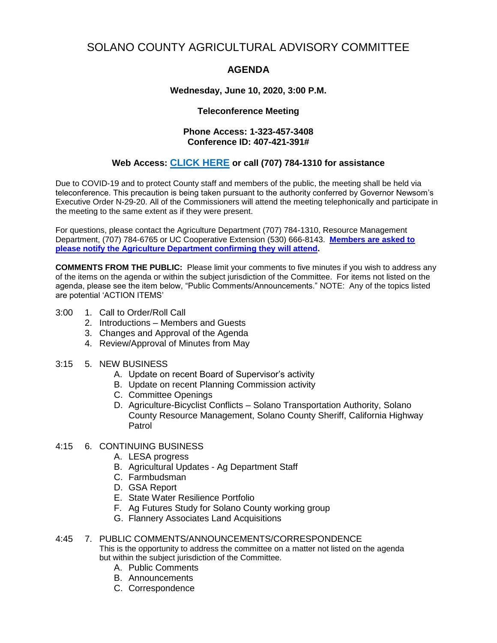# SOLANO COUNTY AGRICULTURAL ADVISORY COMMITTEE

## **AGENDA**

#### **Wednesday, June 10, 2020, 3:00 P.M.**

#### **Teleconference Meeting**

#### **Phone Access: 1-323-457-3408 Conference ID: 407-421-391#**

### **Web Access: [CLICK HERE](https://teams.microsoft.com/l/meetup-join/19%3ameeting_YTZmMjdhNjgtZTdiMS00OGMyLWIzMzYtMTMyY2U5MTNiNTlh%40thread.v2/0?context=%7b%22Tid%22%3a%225e7f20ac-e5f1-4f83-8c3b-ce44b8486421%22%2c%22Oid%22%3a%229b7e0b10-9feb-4114-92ef-db737a66fd13%22%7d) or call (707) 784-1310 for assistance**

Due to COVID-19 and to protect County staff and members of the public, the meeting shall be held via teleconference. This precaution is being taken pursuant to the authority conferred by Governor Newsom's Executive Order N-29-20. All of the Commissioners will attend the meeting telephonically and participate in the meeting to the same extent as if they were present.

For questions, please contact the Agriculture Department (707) 784-1310, Resource Management Department, (707) 784-6765 or UC Cooperative Extension (530) 666-8143. **Members are asked to please notify the Agriculture Department confirming they will attend.**

**COMMENTS FROM THE PUBLIC:** Please limit your comments to five minutes if you wish to address any of the items on the agenda or within the subject jurisdiction of the Committee. For items not listed on the agenda, please see the item below, "Public Comments/Announcements." NOTE: Any of the topics listed are potential 'ACTION ITEMS'

- 3:00 1. Call to Order/Roll Call
	- 2. Introductions Members and Guests
	- 3. Changes and Approval of the Agenda
	- 4. Review/Approval of Minutes from May
- 3:15 5. NEW BUSINESS
	- A. Update on recent Board of Supervisor's activity
	- B. Update on recent Planning Commission activity
	- C. Committee Openings
	- D. Agriculture-Bicyclist Conflicts Solano Transportation Authority, Solano County Resource Management, Solano County Sheriff, California Highway Patrol

#### 4:15 6. CONTINUING BUSINESS

- A. LESA progress
- B. Agricultural Updates Ag Department Staff
- C. Farmbudsman
- D. GSA Report
- E. State Water Resilience Portfolio
- F. Ag Futures Study for Solano County working group
- G. Flannery Associates Land Acquisitions

#### 4:45 7. PUBLIC COMMENTS/ANNOUNCEMENTS/CORRESPONDENCE

This is the opportunity to address the committee on a matter not listed on the agenda but within the subject jurisdiction of the Committee.

- A. Public Comments
- B. Announcements
- C. Correspondence